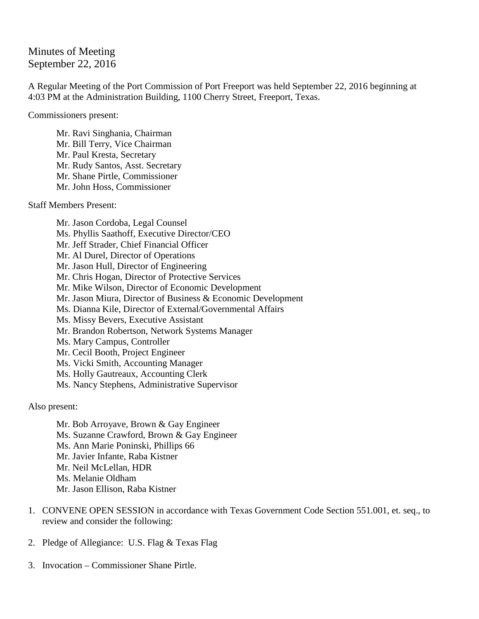## Minutes of Meeting September 22, 2016

A Regular Meeting of the Port Commission of Port Freeport was held September 22, 2016 beginning at 4:03 PM at the Administration Building, 1100 Cherry Street, Freeport, Texas.

Commissioners present:

Mr. Ravi Singhania, Chairman Mr. Bill Terry, Vice Chairman Mr. Paul Kresta, Secretary Mr. Rudy Santos, Asst. Secretary Mr. Shane Pirtle, Commissioner Mr. John Hoss, Commissioner

Staff Members Present:

Mr. Jason Cordoba, Legal Counsel Ms. Phyllis Saathoff, Executive Director/CEO Mr. Jeff Strader, Chief Financial Officer Mr. Al Durel, Director of Operations Mr. Jason Hull, Director of Engineering Mr. Chris Hogan, Director of Protective Services Mr. Mike Wilson, Director of Economic Development Mr. Jason Miura, Director of Business & Economic Development Ms. Dianna Kile, Director of External/Governmental Affairs Ms. Missy Bevers, Executive Assistant Mr. Brandon Robertson, Network Systems Manager Ms. Mary Campus, Controller Mr. Cecil Booth, Project Engineer Ms. Vicki Smith, Accounting Manager Ms. Holly Gautreaux, Accounting Clerk Ms. Nancy Stephens, Administrative Supervisor

Also present:

Mr. Bob Arroyave, Brown & Gay Engineer Ms. Suzanne Crawford, Brown & Gay Engineer Ms. Ann Marie Poninski, Phillips 66 Mr. Javier Infante, Raba Kistner Mr. Neil McLellan, HDR Ms. Melanie Oldham Mr. Jason Ellison, Raba Kistner

- 1. CONVENE OPEN SESSION in accordance with Texas Government Code Section 551.001, et. seq., to review and consider the following:
- 2. Pledge of Allegiance: U.S. Flag & Texas Flag
- 3. Invocation Commissioner Shane Pirtle.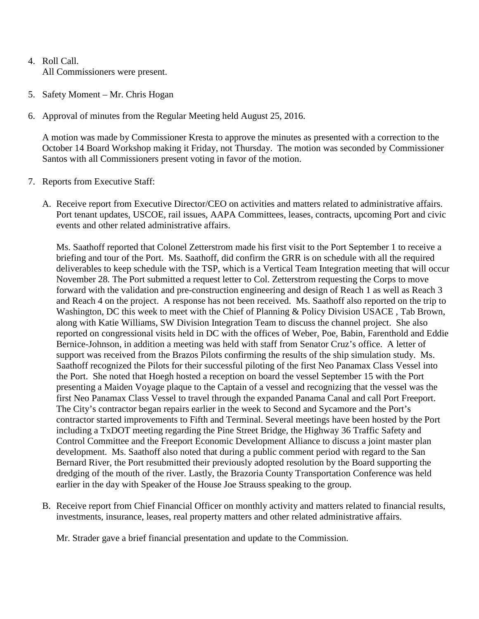- 4. Roll Call. All Commissioners were present.
- 5. Safety Moment Mr. Chris Hogan
- 6. Approval of minutes from the Regular Meeting held August 25, 2016.

A motion was made by Commissioner Kresta to approve the minutes as presented with a correction to the October 14 Board Workshop making it Friday, not Thursday. The motion was seconded by Commissioner Santos with all Commissioners present voting in favor of the motion.

- 7. Reports from Executive Staff:
	- A. Receive report from Executive Director/CEO on activities and matters related to administrative affairs. Port tenant updates, USCOE, rail issues, AAPA Committees, leases, contracts, upcoming Port and civic events and other related administrative affairs.

Ms. Saathoff reported that Colonel Zetterstrom made his first visit to the Port September 1 to receive a briefing and tour of the Port. Ms. Saathoff, did confirm the GRR is on schedule with all the required deliverables to keep schedule with the TSP, which is a Vertical Team Integration meeting that will occur November 28. The Port submitted a request letter to Col. Zetterstrom requesting the Corps to move forward with the validation and pre-construction engineering and design of Reach 1 as well as Reach 3 and Reach 4 on the project. A response has not been received. Ms. Saathoff also reported on the trip to Washington, DC this week to meet with the Chief of Planning & Policy Division USACE , Tab Brown, along with Katie Williams, SW Division Integration Team to discuss the channel project. She also reported on congressional visits held in DC with the offices of Weber, Poe, Babin, Farenthold and Eddie Bernice-Johnson, in addition a meeting was held with staff from Senator Cruz's office. A letter of support was received from the Brazos Pilots confirming the results of the ship simulation study. Ms. Saathoff recognized the Pilots for their successful piloting of the first Neo Panamax Class Vessel into the Port. She noted that Hoegh hosted a reception on board the vessel September 15 with the Port presenting a Maiden Voyage plaque to the Captain of a vessel and recognizing that the vessel was the first Neo Panamax Class Vessel to travel through the expanded Panama Canal and call Port Freeport. The City's contractor began repairs earlier in the week to Second and Sycamore and the Port's contractor started improvements to Fifth and Terminal. Several meetings have been hosted by the Port including a TxDOT meeting regarding the Pine Street Bridge, the Highway 36 Traffic Safety and Control Committee and the Freeport Economic Development Alliance to discuss a joint master plan development. Ms. Saathoff also noted that during a public comment period with regard to the San Bernard River, the Port resubmitted their previously adopted resolution by the Board supporting the dredging of the mouth of the river. Lastly, the Brazoria County Transportation Conference was held earlier in the day with Speaker of the House Joe Strauss speaking to the group.

B. Receive report from Chief Financial Officer on monthly activity and matters related to financial results, investments, insurance, leases, real property matters and other related administrative affairs.

Mr. Strader gave a brief financial presentation and update to the Commission.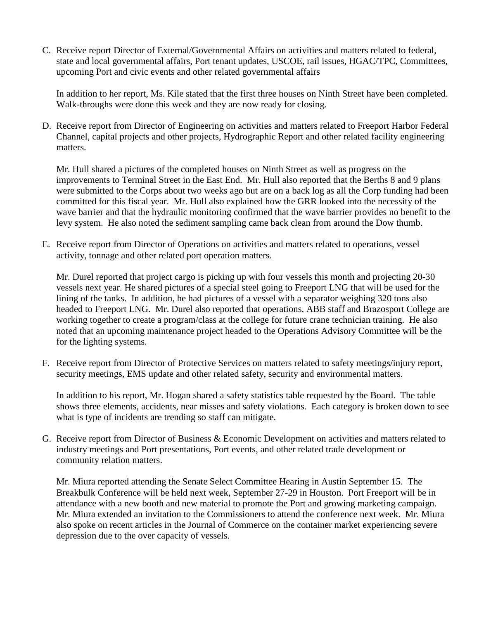C. Receive report Director of External/Governmental Affairs on activities and matters related to federal, state and local governmental affairs, Port tenant updates, USCOE, rail issues, HGAC/TPC, Committees, upcoming Port and civic events and other related governmental affairs

In addition to her report, Ms. Kile stated that the first three houses on Ninth Street have been completed. Walk-throughs were done this week and they are now ready for closing.

D. Receive report from Director of Engineering on activities and matters related to Freeport Harbor Federal Channel, capital projects and other projects, Hydrographic Report and other related facility engineering matters.

Mr. Hull shared a pictures of the completed houses on Ninth Street as well as progress on the improvements to Terminal Street in the East End. Mr. Hull also reported that the Berths 8 and 9 plans were submitted to the Corps about two weeks ago but are on a back log as all the Corp funding had been committed for this fiscal year. Mr. Hull also explained how the GRR looked into the necessity of the wave barrier and that the hydraulic monitoring confirmed that the wave barrier provides no benefit to the levy system. He also noted the sediment sampling came back clean from around the Dow thumb.

E. Receive report from Director of Operations on activities and matters related to operations, vessel activity, tonnage and other related port operation matters.

Mr. Durel reported that project cargo is picking up with four vessels this month and projecting 20-30 vessels next year. He shared pictures of a special steel going to Freeport LNG that will be used for the lining of the tanks. In addition, he had pictures of a vessel with a separator weighing 320 tons also headed to Freeport LNG. Mr. Durel also reported that operations, ABB staff and Brazosport College are working together to create a program/class at the college for future crane technician training. He also noted that an upcoming maintenance project headed to the Operations Advisory Committee will be the for the lighting systems.

F. Receive report from Director of Protective Services on matters related to safety meetings/injury report, security meetings, EMS update and other related safety, security and environmental matters.

In addition to his report, Mr. Hogan shared a safety statistics table requested by the Board. The table shows three elements, accidents, near misses and safety violations. Each category is broken down to see what is type of incidents are trending so staff can mitigate.

G. Receive report from Director of Business & Economic Development on activities and matters related to industry meetings and Port presentations, Port events, and other related trade development or community relation matters.

Mr. Miura reported attending the Senate Select Committee Hearing in Austin September 15. The Breakbulk Conference will be held next week, September 27-29 in Houston. Port Freeport will be in attendance with a new booth and new material to promote the Port and growing marketing campaign. Mr. Miura extended an invitation to the Commissioners to attend the conference next week. Mr. Miura also spoke on recent articles in the Journal of Commerce on the container market experiencing severe depression due to the over capacity of vessels.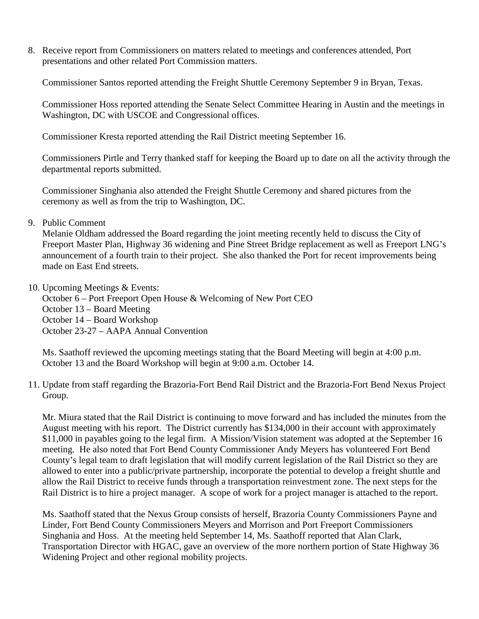8. Receive report from Commissioners on matters related to meetings and conferences attended, Port presentations and other related Port Commission matters.

Commissioner Santos reported attending the Freight Shuttle Ceremony September 9 in Bryan, Texas.

Commissioner Hoss reported attending the Senate Select Committee Hearing in Austin and the meetings in Washington, DC with USCOE and Congressional offices.

Commissioner Kresta reported attending the Rail District meeting September 16.

Commissioners Pirtle and Terry thanked staff for keeping the Board up to date on all the activity through the departmental reports submitted.

Commissioner Singhania also attended the Freight Shuttle Ceremony and shared pictures from the ceremony as well as from the trip to Washington, DC.

9. Public Comment

Melanie Oldham addressed the Board regarding the joint meeting recently held to discuss the City of Freeport Master Plan, Highway 36 widening and Pine Street Bridge replacement as well as Freeport LNG's announcement of a fourth train to their project. She also thanked the Port for recent improvements being made on East End streets.

10. Upcoming Meetings & Events:

October 6 – Port Freeport Open House & Welcoming of New Port CEO October 13 – Board Meeting October 14 – Board Workshop October 23-27 – AAPA Annual Convention

Ms. Saathoff reviewed the upcoming meetings stating that the Board Meeting will begin at 4:00 p.m. October 13 and the Board Workshop will begin at 9:00 a.m. October 14.

11. Update from staff regarding the Brazoria-Fort Bend Rail District and the Brazoria-Fort Bend Nexus Project Group.

Mr. Miura stated that the Rail District is continuing to move forward and has included the minutes from the August meeting with his report. The District currently has \$134,000 in their account with approximately \$11,000 in payables going to the legal firm. A Mission/Vision statement was adopted at the September 16 meeting. He also noted that Fort Bend County Commissioner Andy Meyers has volunteered Fort Bend County's legal team to draft legislation that will modify current legislation of the Rail District so they are allowed to enter into a public/private partnership, incorporate the potential to develop a freight shuttle and allow the Rail District to receive funds through a transportation reinvestment zone. The next steps for the Rail District is to hire a project manager. A scope of work for a project manager is attached to the report.

Ms. Saathoff stated that the Nexus Group consists of herself, Brazoria County Commissioners Payne and Linder, Fort Bend County Commissioners Meyers and Morrison and Port Freeport Commissioners Singhania and Hoss. At the meeting held September 14, Ms. Saathoff reported that Alan Clark, Transportation Director with HGAC, gave an overview of the more northern portion of State Highway 36 Widening Project and other regional mobility projects.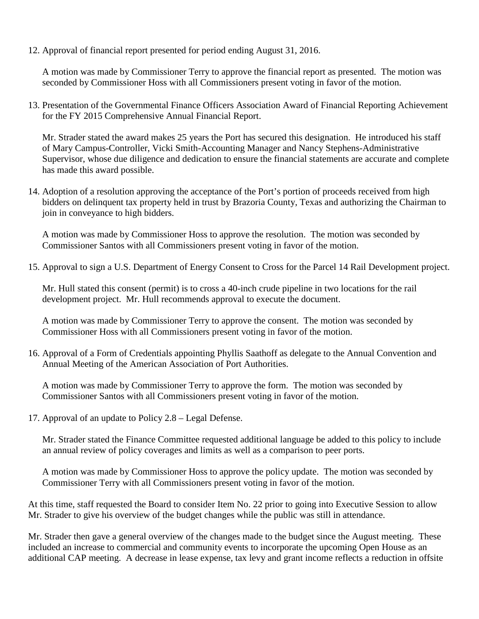12. Approval of financial report presented for period ending August 31, 2016.

A motion was made by Commissioner Terry to approve the financial report as presented. The motion was seconded by Commissioner Hoss with all Commissioners present voting in favor of the motion.

13. Presentation of the Governmental Finance Officers Association Award of Financial Reporting Achievement for the FY 2015 Comprehensive Annual Financial Report.

Mr. Strader stated the award makes 25 years the Port has secured this designation. He introduced his staff of Mary Campus-Controller, Vicki Smith-Accounting Manager and Nancy Stephens-Administrative Supervisor, whose due diligence and dedication to ensure the financial statements are accurate and complete has made this award possible.

14. Adoption of a resolution approving the acceptance of the Port's portion of proceeds received from high bidders on delinquent tax property held in trust by Brazoria County, Texas and authorizing the Chairman to join in conveyance to high bidders.

A motion was made by Commissioner Hoss to approve the resolution. The motion was seconded by Commissioner Santos with all Commissioners present voting in favor of the motion.

15. Approval to sign a U.S. Department of Energy Consent to Cross for the Parcel 14 Rail Development project.

Mr. Hull stated this consent (permit) is to cross a 40-inch crude pipeline in two locations for the rail development project. Mr. Hull recommends approval to execute the document.

A motion was made by Commissioner Terry to approve the consent. The motion was seconded by Commissioner Hoss with all Commissioners present voting in favor of the motion.

16. Approval of a Form of Credentials appointing Phyllis Saathoff as delegate to the Annual Convention and Annual Meeting of the American Association of Port Authorities.

A motion was made by Commissioner Terry to approve the form. The motion was seconded by Commissioner Santos with all Commissioners present voting in favor of the motion.

17. Approval of an update to Policy 2.8 – Legal Defense.

Mr. Strader stated the Finance Committee requested additional language be added to this policy to include an annual review of policy coverages and limits as well as a comparison to peer ports.

A motion was made by Commissioner Hoss to approve the policy update. The motion was seconded by Commissioner Terry with all Commissioners present voting in favor of the motion.

At this time, staff requested the Board to consider Item No. 22 prior to going into Executive Session to allow Mr. Strader to give his overview of the budget changes while the public was still in attendance.

Mr. Strader then gave a general overview of the changes made to the budget since the August meeting. These included an increase to commercial and community events to incorporate the upcoming Open House as an additional CAP meeting. A decrease in lease expense, tax levy and grant income reflects a reduction in offsite